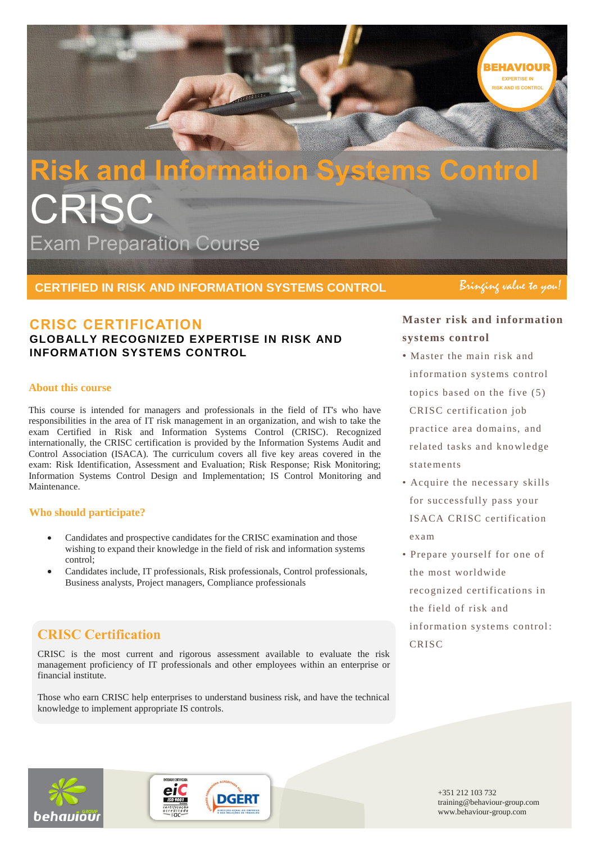

# **Risk and Information Systems Control CRISC** Exam Preparation Course

**CERTIFIED IN RISK AND INFORMATION SYSTEMS CONTROL**

# **CRISC CERTIFICATION**

## **GLOBALLY RECOGNIZED EXPERTISE IN RISK AND INFORMATION SYSTEMS CONTROL**

#### **About this course**

This course is intended for managers and professionals in the field of IT's who have responsibilities in the area of IT risk management in an organization, and wish to take the exam Certified in Risk and Information Systems Control (CRISC). Recognized internationally, the CRISC certification is provided by the Information Systems Audit and Control Association (ISACA). The curriculum covers all five key areas covered in the exam: Risk Identification, Assessment and Evaluation; Risk Response; Risk Monitoring; Information Systems Control Design and Implementation; IS Control Monitoring and **Maintenance** 

#### **Who should participate?**

- Candidates and prospective candidates for the CRISC examination and those wishing to expand their knowledge in the field of risk and information systems control;
- Candidates include, IT professionals, Risk professionals, Control professionals, Business analysts, Project managers, Compliance professionals

# **CRISC Certification**

CRISC is the most current and rigorous assessment available to evaluate the risk management proficiency of IT professionals and other employees within an enterprise or financial institute.

Those who earn CRISC help enterprises to understand business risk, and have the technical knowledge to implement appropriate IS controls.

Bringing value to you!

# **Master risk and information systems control**

- Master the main risk and information systems control topics based on the five (5) CRISC certification job practice area domains, and related tasks and kno wledge statements
- Acquire the necessary skills for successfully pass your ISACA CRISC certification exam
- Prepare yourself for one of the most worldwide recognized certifications in the field of risk and information systems control : CRISC



**DGERT ISO 9001**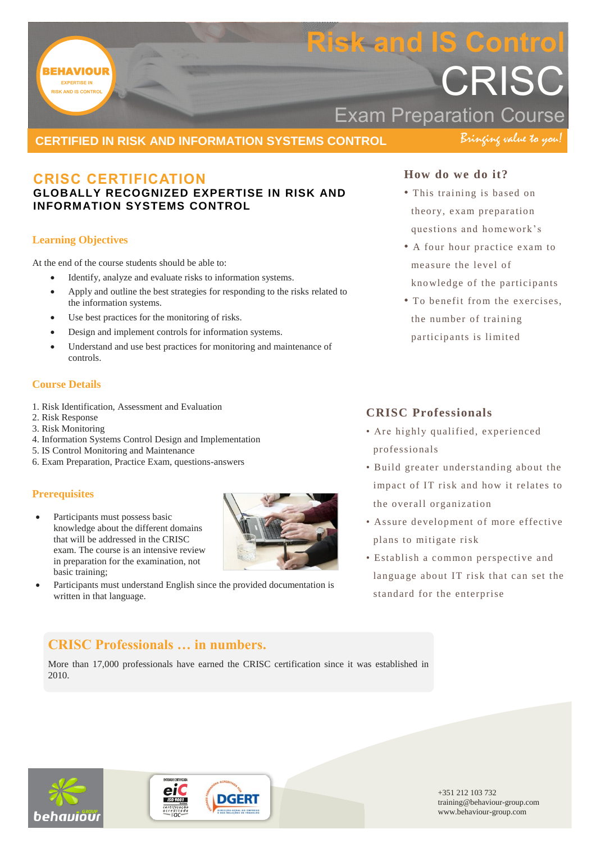

# **CRISC CERTIFICATION**

## **GLOBALLY RECOGNIZED EXPERTISE IN RISK AND INFORMATION SYSTEMS CONTROL**

#### **Learning Objectives**

At the end of the course students should be able to:

- Identify, analyze and evaluate risks to information systems.
- Apply and outline the best strategies for responding to the risks related to the information systems.
- Use best practices for the monitoring of risks.
- Design and implement controls for information systems.
- Understand and use best practices for monitoring and maintenance of controls.

#### **Course Details**

- 1. Risk Identification, Assessment and Evaluation
- 2. Risk Response
- 3. Risk Monitoring
- 4. Information Systems Control Design and Implementation
- 5. IS Control Monitoring and Maintenance
- 6. Exam Preparation, Practice Exam, questions-answers

#### **Prerequisites**

 Participants must possess basic knowledge about the different domains that will be addressed in the CRISC exam. The course is an intensive review in preparation for the examination, not basic training;



 Participants must understand English since the provided documentation is written in that language.

## **How do we do it?**

- This training is based on theory, exam preparation questions and homework's
- A four hour practice exam to measure the level of kno wledge of the participants
- To benefit from the exercises, the number of training participants is limited

## **CRISC Professionals**

- Are highly qualified, experienced professionals
- Build greater understanding about the impact of IT risk and how it relates to the overall organization
- Assure development of more effective plans to mitigate risk
- Establish a common perspective and language about IT risk that can set the standard for the enterprise

# **CRISC Professionals … in numbers.**

More than 17,000 professionals have earned the CRISC certification since it was established in 2010.



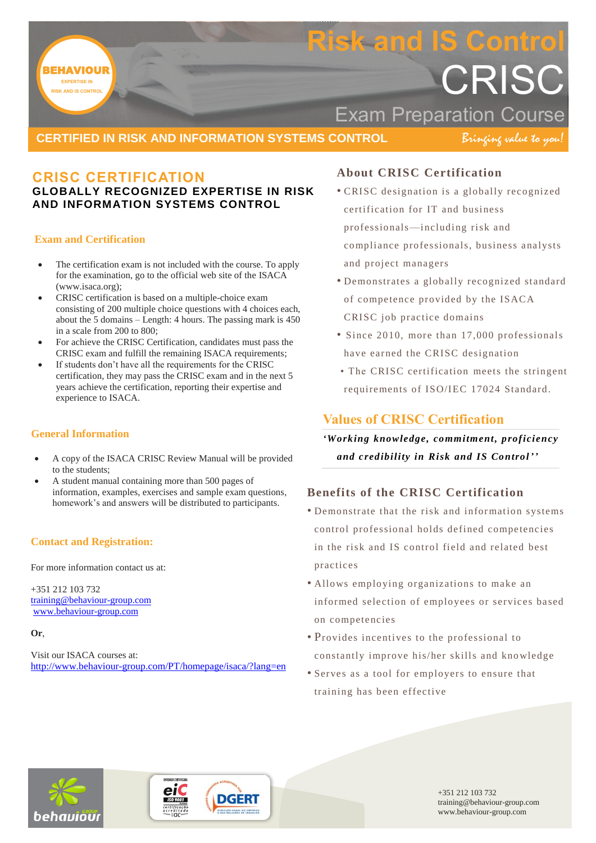

## **CERTIFIED IN RISK AND INFORMATION SYSTEMS CONTROL**

Bringing value to you!

# **CRISC CERTIFICATION**

## **GLOBALLY RECOGNIZED EXPERTISE IN RISK AND INFORMATION SYSTEMS CONTROL**

#### **Exam and Certification**

- The certification exam is not included with the course. To apply for the examination, go to the official web site of the ISACA (www.isaca.org);
- CRISC certification is based on a multiple-choice exam consisting of 200 multiple choice questions with 4 choices each, about the 5 domains – Length: 4 hours. The passing mark is 450 in a scale from 200 to 800;
- For achieve the CRISC Certification, candidates must pass the CRISC exam and fulfill the remaining ISACA requirements;
- If students don't have all the requirements for the CRISC certification, they may pass the CRISC exam and in the next 5 years achieve the certification, reporting their expertise and experience to ISACA.

## **General Information**

- A copy of the ISACA CRISC Review Manual will be provided to the students;
- A student manual containing more than 500 pages of information, examples, exercises and sample exam questions, homework's and answers will be distributed to participants.

## **Contact and Registration:**

For more information contact us at:

+351 212 103 732 [training@behaviour-group.com](mailto:training@behaviour-group.com) [www.behaviour-group.com](http://www.behaviour-group.com/)

#### **Or**,

Visit our ISACA courses at: <http://www.behaviour-group.com/PT/homepage/isaca/?lang=en>

## **About CRISC Certification**

- CRISC designation is a globally recognized certification for IT and business professionals—including risk and compliance professionals, business analysts and project managers
- Demonstrates a globally recognized standard of competence provided by the ISACA CRISC job practice domains
- Since 2010, more than 17,000 professionals have earned the CRISC designation
- The CRISC certification meets the stringent requirements of ISO/IEC 17024 Standard.

# **Values of CRISC Certification**

*'Working knowledge, commitment, proficiency and credibility in Risk and IS Control' '*

# **Benefits of the CRISC Certification**

- Demonstrate that the risk and information systems control professional holds defined competencies in the risk and IS control field and related best practices
- Allows employing organizations to make an informed selection of employees or services based on competencies
- Provides incentives to the professional to constantly improve his/her skills and kno wledge
- Serves as a tool for employers to ensure that training has been effective